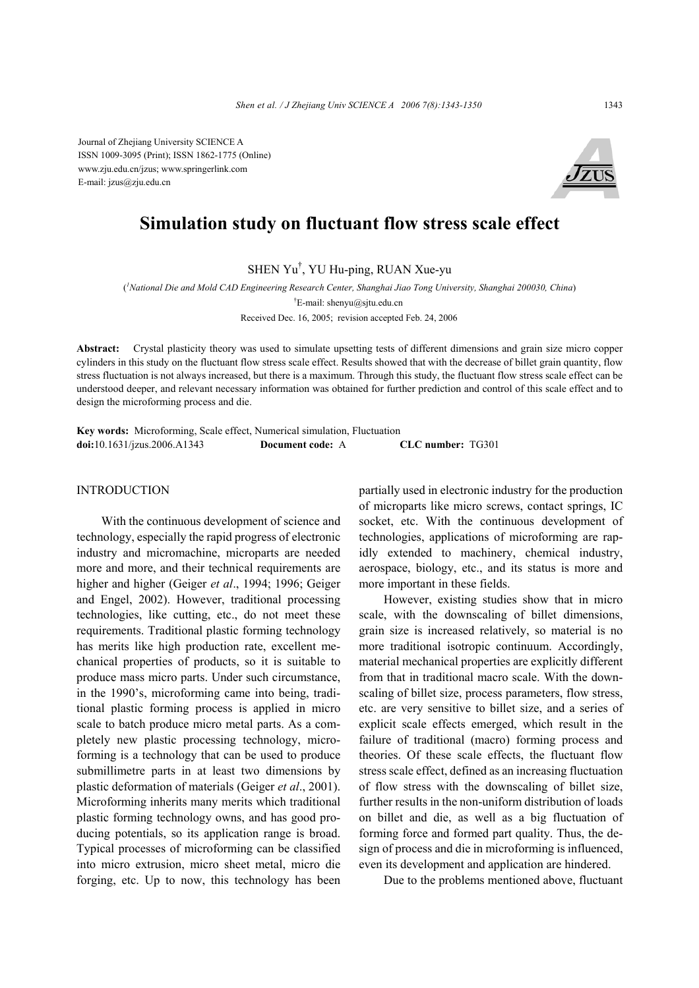Journal of Zhejiang University SCIENCE A ISSN 1009-3095 (Print); ISSN 1862-1775 (Online) www.zju.edu.cn/jzus; www.springerlink.com E-mail: jzus@zju.edu.cn



# **Simulation study on fluctuant flow stress scale effect**

SHEN Yu† , YU Hu-ping, RUAN Xue-yu

( *1 National Die and Mold CAD Engineering Research Center, Shanghai Jiao Tong University, Shanghai 200030, China*) † E-mail: shenyu@sjtu.edu.cn Received Dec. 16, 2005; revision accepted Feb. 24, 2006

**Abstract:** Crystal plasticity theory was used to simulate upsetting tests of different dimensions and grain size micro copper cylinders in this study on the fluctuant flow stress scale effect. Results showed that with the decrease of billet grain quantity, flow stress fluctuation is not always increased, but there is a maximum. Through this study, the fluctuant flow stress scale effect can be understood deeper, and relevant necessary information was obtained for further prediction and control of this scale effect and to design the microforming process and die.

**Key words:** Microforming, Scale effect, Numerical simulation, Fluctuation **doi:**10.1631/jzus.2006.A1343 **Document code:** A **CLC number:** TG301

#### INTRODUCTION

With the continuous development of science and technology, especially the rapid progress of electronic industry and micromachine, microparts are needed more and more, and their technical requirements are higher and higher (Geiger *et al*., 1994; 1996; Geiger and Engel, 2002). However, traditional processing technologies, like cutting, etc., do not meet these requirements. Traditional plastic forming technology has merits like high production rate, excellent mechanical properties of products, so it is suitable to produce mass micro parts. Under such circumstance, in the 1990's, microforming came into being, traditional plastic forming process is applied in micro scale to batch produce micro metal parts. As a completely new plastic processing technology, microforming is a technology that can be used to produce submillimetre parts in at least two dimensions by plastic deformation of materials (Geiger *et al*., 2001). Microforming inherits many merits which traditional plastic forming technology owns, and has good producing potentials, so its application range is broad. Typical processes of microforming can be classified into micro extrusion, micro sheet metal, micro die forging, etc. Up to now, this technology has been partially used in electronic industry for the production of microparts like micro screws, contact springs, IC socket, etc. With the continuous development of technologies, applications of microforming are rapidly extended to machinery, chemical industry, aerospace, biology, etc., and its status is more and more important in these fields.

However, existing studies show that in micro scale, with the downscaling of billet dimensions, grain size is increased relatively, so material is no more traditional isotropic continuum. Accordingly, material mechanical properties are explicitly different from that in traditional macro scale. With the downscaling of billet size, process parameters, flow stress, etc. are very sensitive to billet size, and a series of explicit scale effects emerged, which result in the failure of traditional (macro) forming process and theories. Of these scale effects, the fluctuant flow stress scale effect, defined as an increasing fluctuation of flow stress with the downscaling of billet size, further results in the non-uniform distribution of loads on billet and die, as well as a big fluctuation of forming force and formed part quality. Thus, the design of process and die in microforming is influenced, even its development and application are hindered.

Due to the problems mentioned above, fluctuant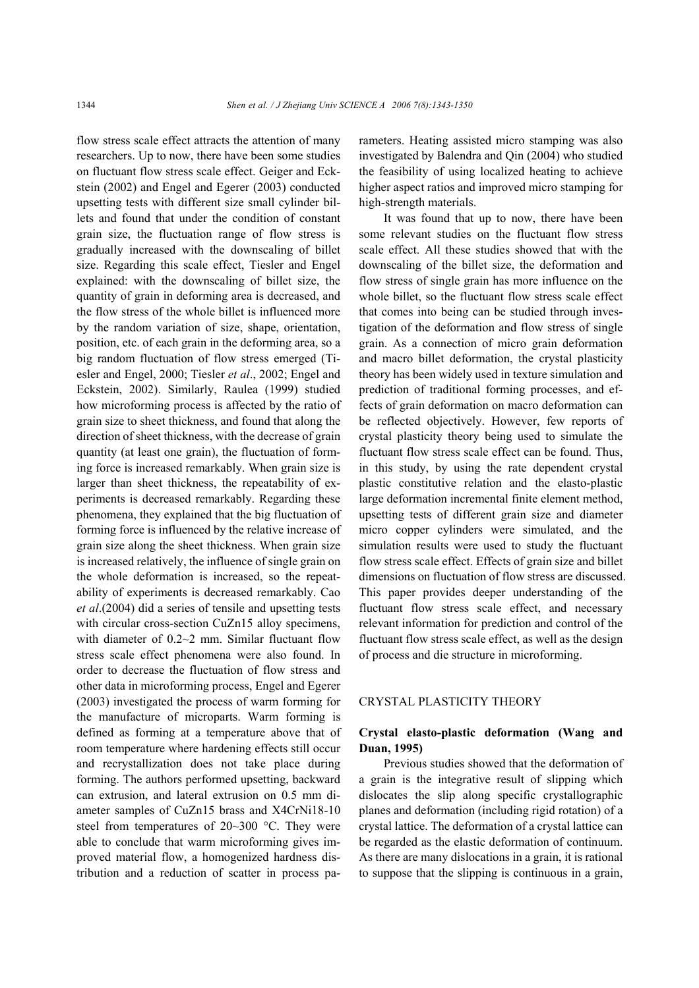flow stress scale effect attracts the attention of many researchers. Up to now, there have been some studies on fluctuant flow stress scale effect. Geiger and Eckstein (2002) and Engel and Egerer (2003) conducted upsetting tests with different size small cylinder billets and found that under the condition of constant grain size, the fluctuation range of flow stress is gradually increased with the downscaling of billet size. Regarding this scale effect, Tiesler and Engel explained: with the downscaling of billet size, the quantity of grain in deforming area is decreased, and the flow stress of the whole billet is influenced more by the random variation of size, shape, orientation, position, etc. of each grain in the deforming area, so a big random fluctuation of flow stress emerged (Tiesler and Engel, 2000; Tiesler *et al*., 2002; Engel and Eckstein, 2002). Similarly, Raulea (1999) studied how microforming process is affected by the ratio of grain size to sheet thickness, and found that along the direction of sheet thickness, with the decrease of grain quantity (at least one grain), the fluctuation of forming force is increased remarkably. When grain size is larger than sheet thickness, the repeatability of experiments is decreased remarkably. Regarding these phenomena, they explained that the big fluctuation of forming force is influenced by the relative increase of grain size along the sheet thickness. When grain size is increased relatively, the influence of single grain on the whole deformation is increased, so the repeatability of experiments is decreased remarkably. Cao *et al*.(2004) did a series of tensile and upsetting tests with circular cross-section CuZn15 alloy specimens. with diameter of 0.2~2 mm. Similar fluctuant flow stress scale effect phenomena were also found. In order to decrease the fluctuation of flow stress and other data in microforming process, Engel and Egerer (2003) investigated the process of warm forming for the manufacture of microparts. Warm forming is defined as forming at a temperature above that of room temperature where hardening effects still occur and recrystallization does not take place during forming. The authors performed upsetting, backward can extrusion, and lateral extrusion on 0.5 mm diameter samples of CuZn15 brass and X4CrNi18-10 steel from temperatures of 20~300 °C. They were able to conclude that warm microforming gives improved material flow, a homogenized hardness distribution and a reduction of scatter in process parameters. Heating assisted micro stamping was also investigated by Balendra and Qin (2004) who studied the feasibility of using localized heating to achieve higher aspect ratios and improved micro stamping for high-strength materials.

It was found that up to now, there have been some relevant studies on the fluctuant flow stress scale effect. All these studies showed that with the downscaling of the billet size, the deformation and flow stress of single grain has more influence on the whole billet, so the fluctuant flow stress scale effect that comes into being can be studied through investigation of the deformation and flow stress of single grain. As a connection of micro grain deformation and macro billet deformation, the crystal plasticity theory has been widely used in texture simulation and prediction of traditional forming processes, and effects of grain deformation on macro deformation can be reflected objectively. However, few reports of crystal plasticity theory being used to simulate the fluctuant flow stress scale effect can be found. Thus, in this study, by using the rate dependent crystal plastic constitutive relation and the elasto-plastic large deformation incremental finite element method, upsetting tests of different grain size and diameter micro copper cylinders were simulated, and the simulation results were used to study the fluctuant flow stress scale effect. Effects of grain size and billet dimensions on fluctuation of flow stress are discussed. This paper provides deeper understanding of the fluctuant flow stress scale effect, and necessary relevant information for prediction and control of the fluctuant flow stress scale effect, as well as the design of process and die structure in microforming.

#### CRYSTAL PLASTICITY THEORY

### **Crystal elasto-plastic deformation (Wang and Duan, 1995)**

Previous studies showed that the deformation of a grain is the integrative result of slipping which dislocates the slip along specific crystallographic planes and deformation (including rigid rotation) of a crystal lattice. The deformation of a crystal lattice can be regarded as the elastic deformation of continuum. As there are many dislocations in a grain, it is rational to suppose that the slipping is continuous in a grain,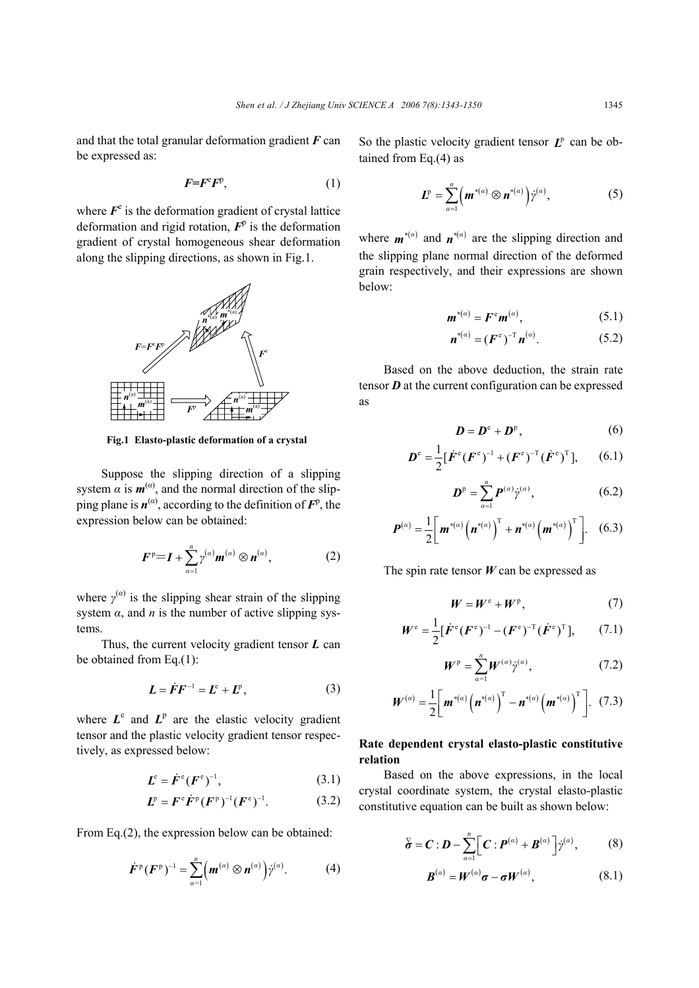and that the total granular deformation gradient *F* can be expressed as:

$$
F = F^{\circ} F^{\circ}, \tag{1}
$$

where  $F^e$  is the deformation gradient of crystal lattice deformation and rigid rotation,  $F<sup>p</sup>$  is the deformation gradient of crystal homogeneous shear deformation along the slipping directions, as shown in Fig.1.



**Fig.1 Elasto-plastic deformation of a crystal**

Suppose the slipping direction of a slipping system  $\alpha$  is  $m^{(\alpha)}$ , and the normal direction of the slipping plane is  $n^{(\alpha)}$ , according to the definition of  $\mathbf{F}^{\mathrm{p}}$ , the expression below can be obtained:

$$
\boldsymbol{F}^{\mathrm{p}} = \boldsymbol{I} + \sum_{\alpha=1}^{n} \gamma^{(\alpha)} \boldsymbol{m}^{(\alpha)} \otimes \boldsymbol{n}^{(\alpha)}, \qquad (2)
$$

where  $\gamma^{(\alpha)}$  is the slipping shear strain of the slipping system  $\alpha$ , and  $n$  is the number of active slipping systems.

Thus, the current velocity gradient tensor *L* can be obtained from Eq.(1):

$$
L = \dot{F}F^{-1} = L^e + L^p, \tag{3}
$$

where  $L^e$  and  $L^p$  are the elastic velocity gradient tensor and the plastic velocity gradient tensor respectively, as expressed below:

$$
\boldsymbol{L}^{\text{e}} = \dot{\boldsymbol{F}}^{\text{e}} (\boldsymbol{F}^{\text{e}})^{-1}, \tag{3.1}
$$

$$
E^{\circ} = F^{\circ} \dot{F}^{\circ} (F^{\circ})^{-1} (F^{\circ})^{-1}.
$$
 (3.2)

From Eq.(2), the expression below can be obtained:

$$
\dot{F}^{\mathrm{p}}(F^{\mathrm{p}})^{-1} = \sum_{\alpha=1}^{n} \left( \boldsymbol{m}^{(\alpha)} \otimes \boldsymbol{n}^{(\alpha)} \right) \dot{\gamma}^{(\alpha)}.
$$
 (4)

So the plastic velocity gradient tensor  $L^p$  can be obtained from Eq.(4) as

$$
\boldsymbol{L}^{\mathrm{p}} = \sum_{\alpha=1}^{n} \left( \boldsymbol{m}^{*(\alpha)} \otimes \boldsymbol{n}^{*(\alpha)} \right) \dot{\gamma}^{(\alpha)}, \tag{5}
$$

where  $\boldsymbol{m}^{*(\alpha)}$  and  $\boldsymbol{n}^{*(\alpha)}$  are the slipping direction and the slipping plane normal direction of the deformed grain respectively, and their expressions are shown below:

$$
\mathbf{m}^{*(a)} = \mathbf{F}^{\mathbf{e}} \mathbf{m}^{(a)},\tag{5.1}
$$

$$
\boldsymbol{n}^{*(a)} = (\boldsymbol{F}^e)^{-T} \boldsymbol{n}^{(a)}.
$$
 (5.2)

Based on the above deduction, the strain rate tensor *D* at the current configuration can be expressed as

$$
D = D^e + D^p, \tag{6}
$$

$$
\boldsymbol{D}^{\text{e}} = \frac{1}{2} [\dot{\boldsymbol{F}}^{\text{e}} (\boldsymbol{F}^{\text{e}})^{-1} + (\boldsymbol{F}^{\text{e}})^{-1} (\dot{\boldsymbol{F}}^{\text{e}})^{\text{T}}], \qquad (6.1)
$$

$$
\boldsymbol{D}^{\mathrm{p}} = \sum_{\alpha=1}^{n} \boldsymbol{P}^{(\alpha)} \dot{\gamma}^{(\alpha)}, \tag{6.2}
$$

$$
\boldsymbol{P}^{(\alpha)} = \frac{1}{2} \left[ \boldsymbol{m}^{*(\alpha)} \left( \boldsymbol{n}^{*(\alpha)} \right)^{\mathrm{T}} + \boldsymbol{n}^{*(\alpha)} \left( \boldsymbol{m}^{*(\alpha)} \right)^{\mathrm{T}} \right]. \quad (6.3)
$$

The spin rate tensor *W* can be expressed as

$$
W = W^{\rm e} + W^{\rm p},\tag{7}
$$

$$
\boldsymbol{W}^{\text{e}} = \frac{1}{2} [\dot{\boldsymbol{F}}^{\text{e}} (\boldsymbol{F}^{\text{e}})^{-1} - (\boldsymbol{F}^{\text{e}})^{-1} (\dot{\boldsymbol{F}}^{\text{e}})^{\text{T}}], \qquad (7.1)
$$

$$
\boldsymbol{W}^{\mathrm{p}} = \sum_{\alpha=1}^{n} \boldsymbol{W}^{(\alpha)} \dot{\boldsymbol{\gamma}}^{(\alpha)}, \tag{7.2}
$$

$$
\boldsymbol{W}^{(\alpha)} = \frac{1}{2} \left[ \boldsymbol{m}^{*(\alpha)} \left( \boldsymbol{n}^{*(\alpha)} \right)^{\mathrm{T}} - \boldsymbol{n}^{*(\alpha)} \left( \boldsymbol{m}^{*(\alpha)} \right)^{\mathrm{T}} \right]. \quad (7.3)
$$

#### **Rate dependent crystal elasto-plastic constitutive relation**

Based on the above expressions, in the local crystal coordinate system, the crystal elasto-plastic constitutive equation can be built as shown below:

$$
\overline{\boldsymbol{\delta}} = \boldsymbol{C} : \boldsymbol{D} - \sum_{\alpha=1}^{n} \Big[ \boldsymbol{C} : \boldsymbol{P}^{(\alpha)} + \boldsymbol{B}^{(\alpha)} \Big] \dot{\gamma}^{(\alpha)}, \tag{8}
$$

$$
\boldsymbol{B}^{(a)} = \boldsymbol{W}^{(a)} \boldsymbol{\sigma} - \boldsymbol{\sigma} \boldsymbol{W}^{(a)}, \tag{8.1}
$$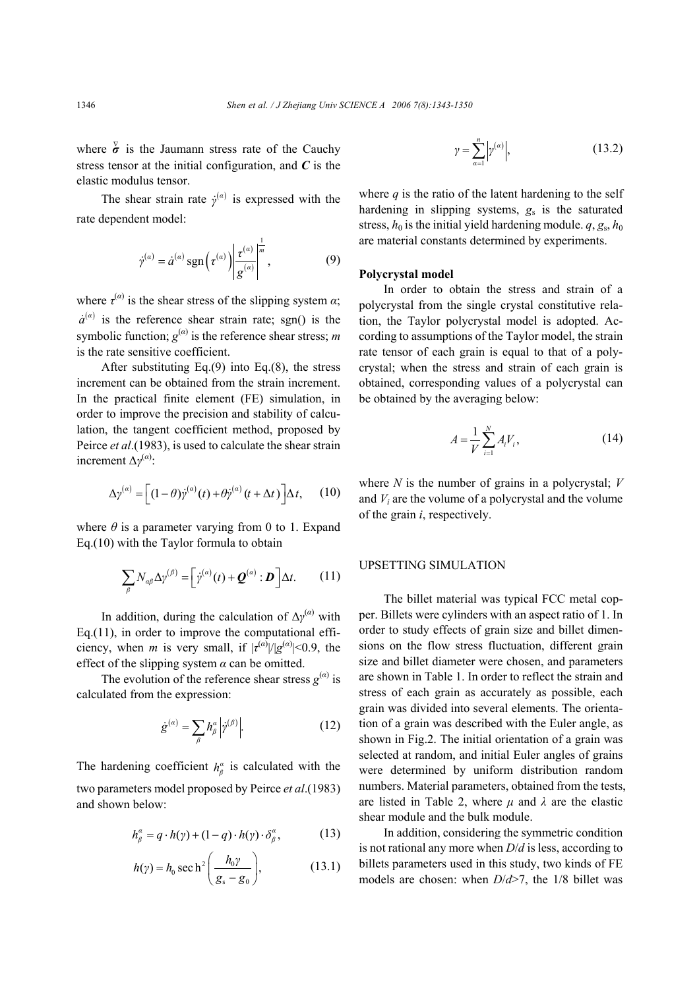where  $\overline{\sigma}$  is the Jaumann stress rate of the Cauchy stress tensor at the initial configuration, and *C* is the elastic modulus tensor.

The shear strain rate  $\dot{v}^{(a)}$  is expressed with the rate dependent model:

$$
\dot{\gamma}^{(\alpha)} = \dot{a}^{(\alpha)} \operatorname{sgn}\left(\tau^{(\alpha)}\right) \left| \frac{\tau^{(\alpha)}}{g^{(\alpha)}} \right|^{\frac{1}{m}},\tag{9}
$$

where  $\tau^{(\alpha)}$  is the shear stress of the slipping system  $\alpha$ ;  $\dot{a}^{(a)}$  is the reference shear strain rate; sgn() is the symbolic function;  $g^{(a)}$  is the reference shear stress; *m* is the rate sensitive coefficient.

After substituting Eq.(9) into Eq.(8), the stress increment can be obtained from the strain increment. In the practical finite element (FE) simulation, in order to improve the precision and stability of calculation, the tangent coefficient method, proposed by Peirce *et al*.(1983), is used to calculate the shear strain increment  $Δ*γ*<sup>(α)</sup>$ :

$$
\Delta \gamma^{(\alpha)} = \left[ (1 - \theta) \dot{\gamma}^{(\alpha)}(t) + \theta \dot{\gamma}^{(\alpha)}(t + \Delta t) \right] \Delta t, \quad (10)
$$

where  $\theta$  is a parameter varying from 0 to 1. Expand Eq.(10) with the Taylor formula to obtain

$$
\sum_{\beta} N_{\alpha\beta} \Delta \gamma^{(\beta)} = \left[ \dot{\gamma}^{(\alpha)}(t) + \mathbf{Q}^{(\alpha)} : \mathbf{D} \right] \Delta t. \quad (11)
$$

In addition, during the calculation of  $\Delta \gamma^{(\alpha)}$  with Eq. $(11)$ , in order to improve the computational efficiency, when *m* is very small, if  $|\tau^{(\alpha)}|/|g^{(\alpha)}| < 0.9$ , the effect of the slipping system  $\alpha$  can be omitted.

The evolution of the reference shear stress  $g^{(\alpha)}$  is calculated from the expression:

$$
\dot{\mathbf{g}}^{(a)} = \sum_{\beta} h_{\beta}^{a} \left| \dot{\mathbf{y}}^{(\beta)} \right|.
$$
 (12)

The hardening coefficient  $h^{\alpha}_{\beta}$  is calculated with the two parameters model proposed by Peirce *et al*.(1983) and shown below:

$$
h_{\beta}^{\alpha} = q \cdot h(\gamma) + (1 - q) \cdot h(\gamma) \cdot \delta_{\beta}^{\alpha}, \qquad (13)
$$

$$
h(\gamma) = h_0 \sec \frac{h^2}{g_s - g_0}, \qquad (13.1)
$$

$$
\gamma = \sum_{\alpha=1}^{n} \left| \gamma^{(\alpha)} \right|, \tag{13.2}
$$

where  $q$  is the ratio of the latent hardening to the self hardening in slipping systems, *g*s is the saturated stress,  $h_0$  is the initial yield hardening module.  $q$ ,  $g_s$ ,  $h_0$ are material constants determined by experiments.

### **Polycrystal model**

In order to obtain the stress and strain of a polycrystal from the single crystal constitutive relation, the Taylor polycrystal model is adopted. According to assumptions of the Taylor model, the strain rate tensor of each grain is equal to that of a polycrystal; when the stress and strain of each grain is obtained, corresponding values of a polycrystal can be obtained by the averaging below:

$$
A = \frac{1}{V} \sum_{i=1}^{N} A_i V_i,
$$
 (14)

where *N* is the number of grains in a polycrystal; *V* and *Vi* are the volume of a polycrystal and the volume of the grain *i*, respectively.

### UPSETTING SIMULATION

The billet material was typical FCC metal copper. Billets were cylinders with an aspect ratio of 1. In order to study effects of grain size and billet dimensions on the flow stress fluctuation, different grain size and billet diameter were chosen, and parameters are shown in Table 1. In order to reflect the strain and stress of each grain as accurately as possible, each grain was divided into several elements. The orientation of a grain was described with the Euler angle, as shown in Fig.2. The initial orientation of a grain was selected at random, and initial Euler angles of grains were determined by uniform distribution random numbers. Material parameters, obtained from the tests, are listed in Table 2, where  $\mu$  and  $\lambda$  are the elastic shear module and the bulk module.

In addition, considering the symmetric condition is not rational any more when *D*/*d* is less, according to billets parameters used in this study, two kinds of FE models are chosen: when *D*/*d*>7, the 1/8 billet was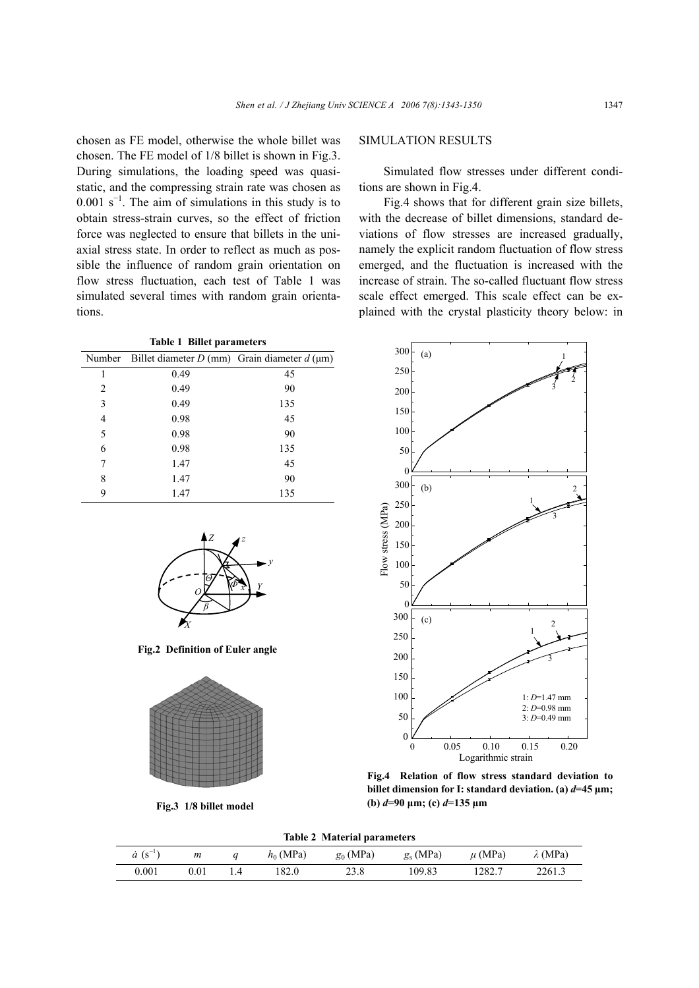chosen as FE model, otherwise the whole billet was chosen. The FE model of 1/8 billet is shown in Fig.3. During simulations, the loading speed was quasistatic, and the compressing strain rate was chosen as 0.001  $s^{-1}$ . The aim of simulations in this study is to obtain stress-strain curves, so the effect of friction force was neglected to ensure that billets in the uniaxial stress state. In order to reflect as much as possible the influence of random grain orientation on flow stress fluctuation, each test of Table 1 was simulated several times with random grain orientations.

|  |  | <b>Table 1 Billet parameters</b> |
|--|--|----------------------------------|
|--|--|----------------------------------|

|  |   | Number Billet diameter $D$ (mm) Grain diameter $d$ ( $\mu$ m) |     |  |  |
|--|---|---------------------------------------------------------------|-----|--|--|
|  | 1 | 0.49                                                          | 45  |  |  |
|  | 2 | 0.49                                                          | 90  |  |  |
|  | 3 | 0.49                                                          | 135 |  |  |
|  | 4 | 0.98                                                          | 45  |  |  |
|  | 5 | 0.98                                                          | 90  |  |  |
|  | 6 | 0.98                                                          | 135 |  |  |
|  | 7 | 1.47                                                          | 45  |  |  |
|  | 8 | 1.47                                                          | 90  |  |  |
|  | 9 | 1.47                                                          | 135 |  |  |



**Fig.2 Definition of Euler angle**



**Fig.3 1/8 billet model**

## SIMULATION RESULTS

Simulated flow stresses under different conditions are shown in Fig.4.

Fig.4 shows that for different grain size billets, with the decrease of billet dimensions, standard deviations of flow stresses are increased gradually, namely the explicit random fluctuation of flow stress emerged, and the fluctuation is increased with the increase of strain. The so-called fluctuant flow stress scale effect emerged. This scale effect can be explained with the crystal plasticity theory below: in



**Fig.4 Relation of flow stress standard deviation to billet dimension for I: standard deviation. (a)** *d***=45 µm; (b)** *d***=90 µm; (c)** *d***=135 µm**

**Table 2 Material parameters** 

| $\dot{a}$ (s <sup>-1</sup> ) | $\boldsymbol{m}$ | $h_0$ (MPa) | $g_0$ (MPa) | $g_s$ (MPa) | $\mu$ (MPa) | $\lambda$ (MPa) |
|------------------------------|------------------|-------------|-------------|-------------|-------------|-----------------|
| 0.001                        | $\rm 0.01$       | 182.0       | 23.8        | 109.83      | 1282.7      | 2261.3          |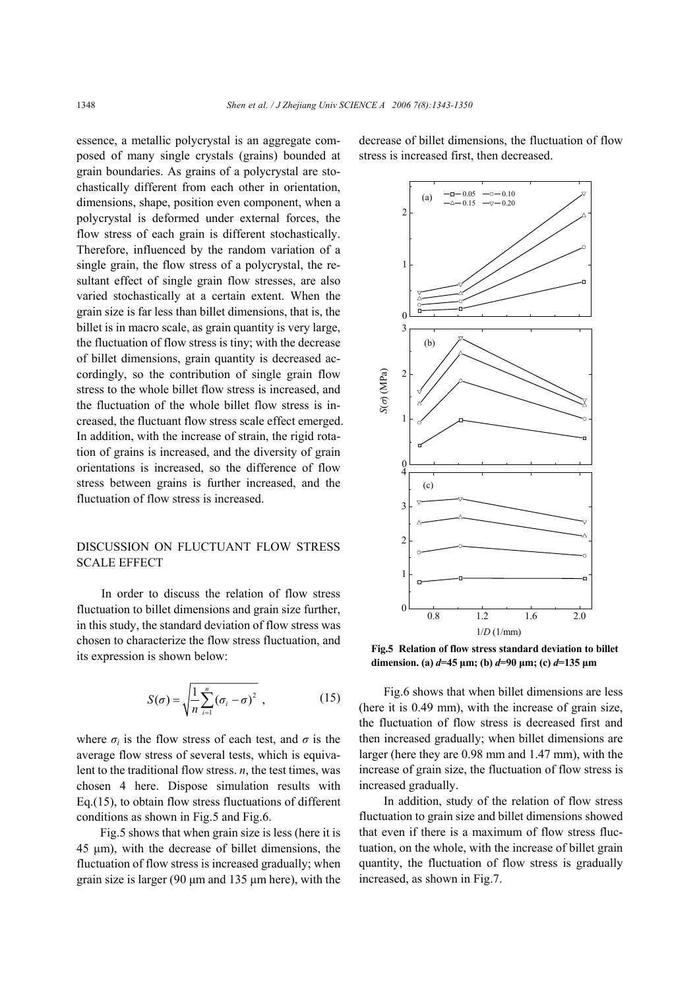essence, a metallic polycrystal is an aggregate composed of many single crystals (grains) bounded at grain boundaries. As grains of a polycrystal are stochastically different from each other in orientation, dimensions, shape, position even component, when a polycrystal is deformed under external forces, the flow stress of each grain is different stochastically. Therefore, influenced by the random variation of a single grain, the flow stress of a polycrystal, the resultant effect of single grain flow stresses, are also varied stochastically at a certain extent. When the grain size is far less than billet dimensions, that is, the billet is in macro scale, as grain quantity is very large, the fluctuation of flow stress is tiny; with the decrease of billet dimensions, grain quantity is decreased accordingly, so the contribution of single grain flow stress to the whole billet flow stress is increased, and the fluctuation of the whole billet flow stress is increased, the fluctuant flow stress scale effect emerged. In addition, with the increase of strain, the rigid rotation of grains is increased, and the diversity of grain orientations is increased, so the difference of flow stress between grains is further increased, and the fluctuation of flow stress is increased.

# DISCUSSION ON FLUCTUANT FLOW STRESS SCALE EFFECT

In order to discuss the relation of flow stress fluctuation to billet dimensions and grain size further, in this study, the standard deviation of flow stress was chosen to characterize the flow stress fluctuation, and its expression is shown below:

$$
S(\sigma) = \sqrt{\frac{1}{n} \sum_{i=1}^{n} (\sigma_i - \sigma)^2},
$$
 (15)

where  $\sigma_i$  is the flow stress of each test, and  $\sigma$  is the average flow stress of several tests, which is equivalent to the traditional flow stress. *n*, the test times, was chosen 4 here. Dispose simulation results with Eq.(15), to obtain flow stress fluctuations of different conditions as shown in Fig.5 and Fig.6.

Fig.5 shows that when grain size is less (here it is 45 µm), with the decrease of billet dimensions, the fluctuation of flow stress is increased gradually; when grain size is larger (90  $\mu$ m and 135  $\mu$ m here), with the

decrease of billet dimensions, the fluctuation of flow stress is increased first, then decreased.



**Fig.5 Relation of flow stress standard deviation to billet dimension. (a)** *d***=45 µm; (b)** *d***=90 µm; (c)** *d***=135 µm** 

Fig.6 shows that when billet dimensions are less (here it is 0.49 mm), with the increase of grain size, the fluctuation of flow stress is decreased first and then increased gradually; when billet dimensions are larger (here they are 0.98 mm and 1.47 mm), with the increase of grain size, the fluctuation of flow stress is increased gradually.

In addition, study of the relation of flow stress fluctuation to grain size and billet dimensions showed that even if there is a maximum of flow stress fluctuation, on the whole, with the increase of billet grain quantity, the fluctuation of flow stress is gradually increased, as shown in Fig.7.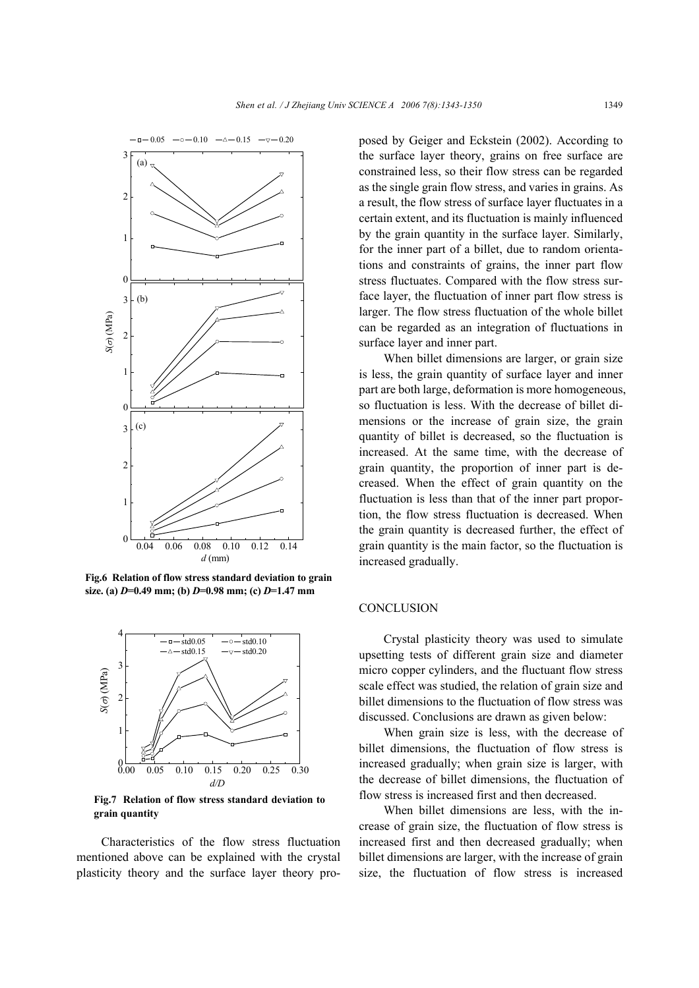

**Fig.6 Relation of flow stress standard deviation to grain size. (a)** *D***=0.49 mm; (b)** *D***=0.98 mm; (c)** *D***=1.47 mm** 



**Fig.7 Relation of flow stress standard deviation to grain quantity**

Characteristics of the flow stress fluctuation mentioned above can be explained with the crystal plasticity theory and the surface layer theory proposed by Geiger and Eckstein (2002). According to the surface layer theory, grains on free surface are constrained less, so their flow stress can be regarded as the single grain flow stress, and varies in grains. As a result, the flow stress of surface layer fluctuates in a certain extent, and its fluctuation is mainly influenced by the grain quantity in the surface layer. Similarly, for the inner part of a billet, due to random orientations and constraints of grains, the inner part flow stress fluctuates. Compared with the flow stress surface layer, the fluctuation of inner part flow stress is larger. The flow stress fluctuation of the whole billet can be regarded as an integration of fluctuations in surface layer and inner part.

When billet dimensions are larger, or grain size is less, the grain quantity of surface layer and inner part are both large, deformation is more homogeneous, so fluctuation is less. With the decrease of billet dimensions or the increase of grain size, the grain quantity of billet is decreased, so the fluctuation is increased. At the same time, with the decrease of grain quantity, the proportion of inner part is decreased. When the effect of grain quantity on the fluctuation is less than that of the inner part proportion, the flow stress fluctuation is decreased. When the grain quantity is decreased further, the effect of grain quantity is the main factor, so the fluctuation is increased gradually.

#### **CONCLUSION**

Crystal plasticity theory was used to simulate upsetting tests of different grain size and diameter micro copper cylinders, and the fluctuant flow stress scale effect was studied, the relation of grain size and billet dimensions to the fluctuation of flow stress was discussed. Conclusions are drawn as given below:

When grain size is less, with the decrease of billet dimensions, the fluctuation of flow stress is increased gradually; when grain size is larger, with the decrease of billet dimensions, the fluctuation of flow stress is increased first and then decreased.

When billet dimensions are less, with the increase of grain size, the fluctuation of flow stress is increased first and then decreased gradually; when billet dimensions are larger, with the increase of grain size, the fluctuation of flow stress is increased